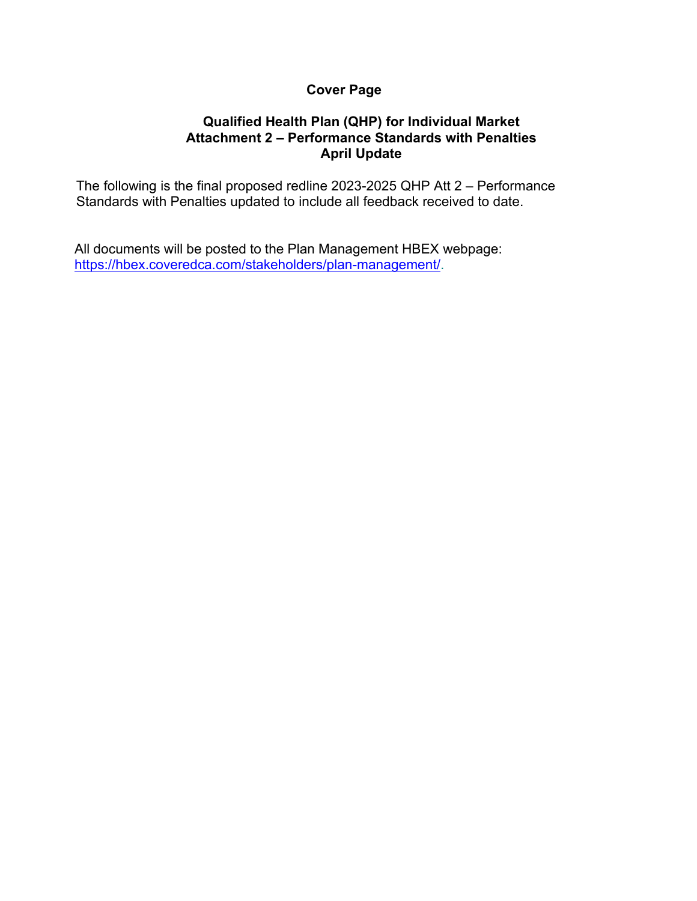# **Cover Page**

## **Qualified Health Plan (QHP) for Individual Market Attachment 2 – Performance Standards with Penalties April Update**

The following is the final proposed redline 2023-2025 QHP Att 2 – Performance Standards with Penalties updated to include all feedback received to date.

All documents will be posted to the Plan Management HBEX webpage: [https://hbex.coveredca.com/stakeholders/plan-management/.](https://hbex.coveredca.com/stakeholders/plan-management/)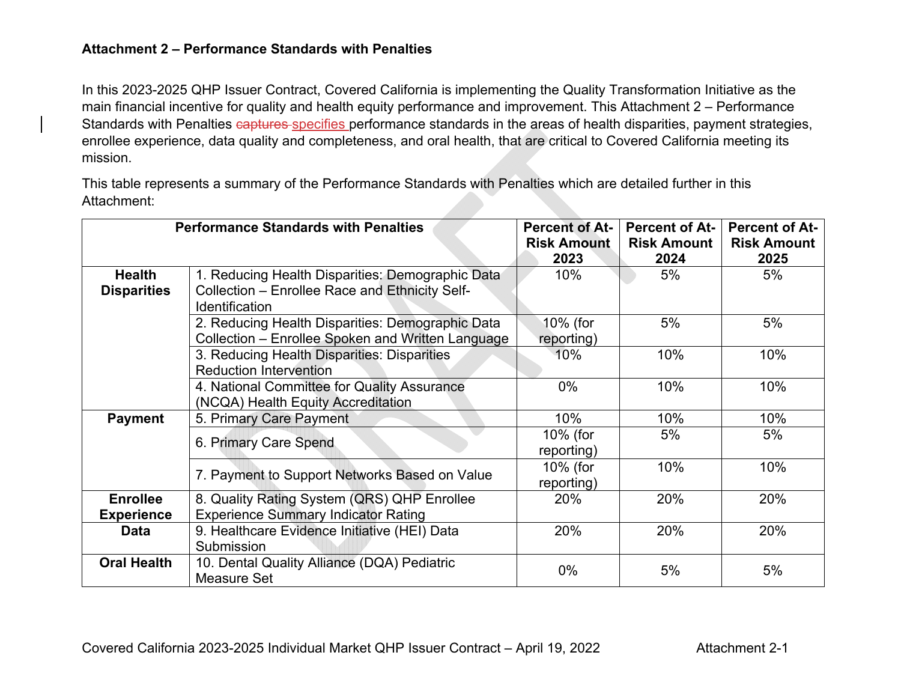### **Attachment 2 – Performance Standards with Penalties**

In this 2023-2025 QHP Issuer Contract, Covered California is implementing the Quality Transformation Initiative as the main financial incentive for quality and health equity performance and improvement. This Attachment 2 – Performance Standards with Penalties captures specifies performance standards in the areas of health disparities, payment strategies, enrollee experience, data quality and completeness, and oral health, that are critical to Covered California meeting its mission.

This table represents a summary of the Performance Standards with Penalties which are detailed further in this Attachment:

| <b>Performance Standards with Penalties</b> |                                                   | <b>Percent of At-</b> | <b>Percent of At-</b> | <b>Percent of At-</b> |
|---------------------------------------------|---------------------------------------------------|-----------------------|-----------------------|-----------------------|
|                                             |                                                   | <b>Risk Amount</b>    | <b>Risk Amount</b>    | <b>Risk Amount</b>    |
|                                             |                                                   | 2023                  | 2024                  | 2025                  |
| <b>Health</b>                               | 1. Reducing Health Disparities: Demographic Data  | 10%                   | 5%                    | 5%                    |
| <b>Disparities</b>                          | Collection - Enrollee Race and Ethnicity Self-    |                       |                       |                       |
|                                             | <b>Identification</b>                             |                       |                       |                       |
|                                             | 2. Reducing Health Disparities: Demographic Data  | 10% (for              | 5%                    | 5%                    |
|                                             | Collection - Enrollee Spoken and Written Language | reporting)            |                       |                       |
|                                             | 3. Reducing Health Disparities: Disparities       | 10%                   | 10%                   | 10%                   |
|                                             | <b>Reduction Intervention</b>                     |                       |                       |                       |
|                                             | 4. National Committee for Quality Assurance       | $0\%$                 | 10%                   | 10%                   |
|                                             | (NCQA) Health Equity Accreditation                |                       |                       |                       |
| <b>Payment</b>                              | 5. Primary Care Payment                           | 10%                   | 10%                   | 10%                   |
|                                             |                                                   | 10% (for              | 5%                    | 5%                    |
|                                             | 6. Primary Care Spend                             | reporting)            |                       |                       |
|                                             |                                                   | 10% (for              | 10%                   | 10%                   |
|                                             | 7. Payment to Support Networks Based on Value     | reporting)            |                       |                       |
| <b>Enrollee</b>                             | 8. Quality Rating System (QRS) QHP Enrollee       | 20%                   | 20%                   | 20%                   |
| <b>Experience</b>                           | <b>Experience Summary Indicator Rating</b>        |                       |                       |                       |
| <b>Data</b>                                 | 9. Healthcare Evidence Initiative (HEI) Data      | 20%                   | 20%                   | 20%                   |
|                                             | Submission                                        |                       |                       |                       |
| <b>Oral Health</b>                          | 10. Dental Quality Alliance (DQA) Pediatric       | $0\%$                 | 5%                    | 5%                    |
|                                             | Measure Set                                       |                       |                       |                       |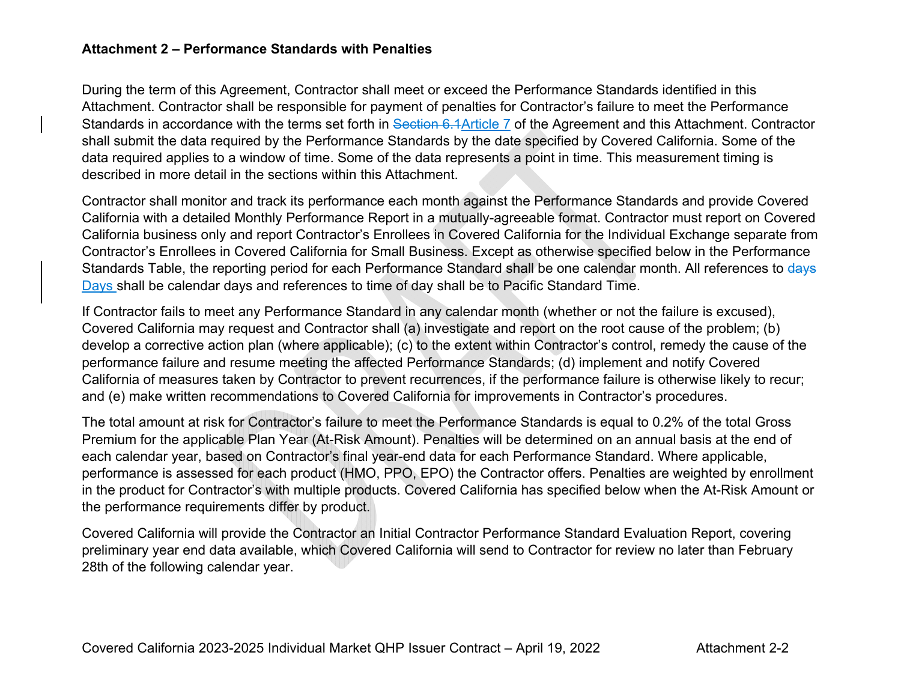### **Attachment 2 – Performance Standards with Penalties**

During the term of this Agreement, Contractor shall meet or exceed the Performance Standards identified in this Attachment. Contractor shall be responsible for payment of penalties for Contractor's failure to meet the Performance Standards in accordance with the terms set forth in Section 6.1Article 7 of the Agreement and this Attachment. Contractor shall submit the data required by the Performance Standards by the date specified by Covered California. Some of the data required applies to a window of time. Some of the data represents a point in time. This measurement timing is described in more detail in the sections within this Attachment.

Contractor shall monitor and track its performance each month against the Performance Standards and provide Covered California with a detailed Monthly Performance Report in a mutually-agreeable format. Contractor must report on Covered California business only and report Contractor's Enrollees in Covered California for the Individual Exchange separate from Contractor's Enrollees in Covered California for Small Business. Except as otherwise specified below in the Performance Standards Table, the reporting period for each Performance Standard shall be one calendar month. All references to days Days shall be calendar days and references to time of day shall be to Pacific Standard Time.

If Contractor fails to meet any Performance Standard in any calendar month (whether or not the failure is excused), Covered California may request and Contractor shall (a) investigate and report on the root cause of the problem; (b) develop a corrective action plan (where applicable); (c) to the extent within Contractor's control, remedy the cause of the performance failure and resume meeting the affected Performance Standards; (d) implement and notify Covered California of measures taken by Contractor to prevent recurrences, if the performance failure is otherwise likely to recur; and (e) make written recommendations to Covered California for improvements in Contractor's procedures.

The total amount at risk for Contractor's failure to meet the Performance Standards is equal to 0.2% of the total Gross Premium for the applicable Plan Year (At-Risk Amount). Penalties will be determined on an annual basis at the end of each calendar year, based on Contractor's final year-end data for each Performance Standard. Where applicable, performance is assessed for each product (HMO, PPO, EPO) the Contractor offers. Penalties are weighted by enrollment in the product for Contractor's with multiple products. Covered California has specified below when the At-Risk Amount or the performance requirements differ by product.

Covered California will provide the Contractor an Initial Contractor Performance Standard Evaluation Report, covering preliminary year end data available, which Covered California will send to Contractor for review no later than February 28th of the following calendar year.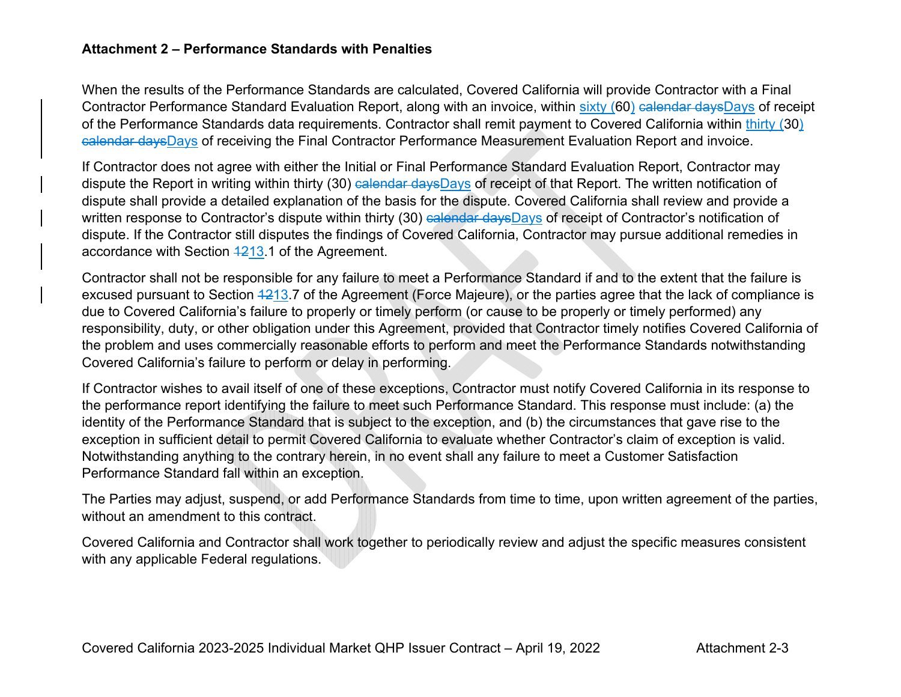### **Attachment 2 – Performance Standards with Penalties**

When the results of the Performance Standards are calculated, Covered California will provide Contractor with a Final Contractor Performance Standard Evaluation Report, along with an invoice, within sixty (60) calendar daysDays of receipt of the Performance Standards data requirements. Contractor shall remit payment to Covered California within thirty (30) calendar daysDays of receiving the Final Contractor Performance Measurement Evaluation Report and invoice.

If Contractor does not agree with either the Initial or Final Performance Standard Evaluation Report, Contractor may dispute the Report in writing within thirty (30) calendar daysDays of receipt of that Report. The written notification of dispute shall provide a detailed explanation of the basis for the dispute. Covered California shall review and provide a written response to Contractor's dispute within thirty (30) calendar daysDays of receipt of Contractor's notification of dispute. If the Contractor still disputes the findings of Covered California, Contractor may pursue additional remedies in accordance with Section 1213.1 of the Agreement.

Contractor shall not be responsible for any failure to meet a Performance Standard if and to the extent that the failure is excused pursuant to Section 4213.7 of the Agreement (Force Majeure), or the parties agree that the lack of compliance is due to Covered California's failure to properly or timely perform (or cause to be properly or timely performed) any responsibility, duty, or other obligation under this Agreement, provided that Contractor timely notifies Covered California of the problem and uses commercially reasonable efforts to perform and meet the Performance Standards notwithstanding Covered California's failure to perform or delay in performing.

If Contractor wishes to avail itself of one of these exceptions, Contractor must notify Covered California in its response to the performance report identifying the failure to meet such Performance Standard. This response must include: (a) the identity of the Performance Standard that is subject to the exception, and (b) the circumstances that gave rise to the exception in sufficient detail to permit Covered California to evaluate whether Contractor's claim of exception is valid. Notwithstanding anything to the contrary herein, in no event shall any failure to meet a Customer Satisfaction Performance Standard fall within an exception.

The Parties may adjust, suspend, or add Performance Standards from time to time, upon written agreement of the parties, without an amendment to this contract.

Covered California and Contractor shall work together to periodically review and adjust the specific measures consistent with any applicable Federal regulations.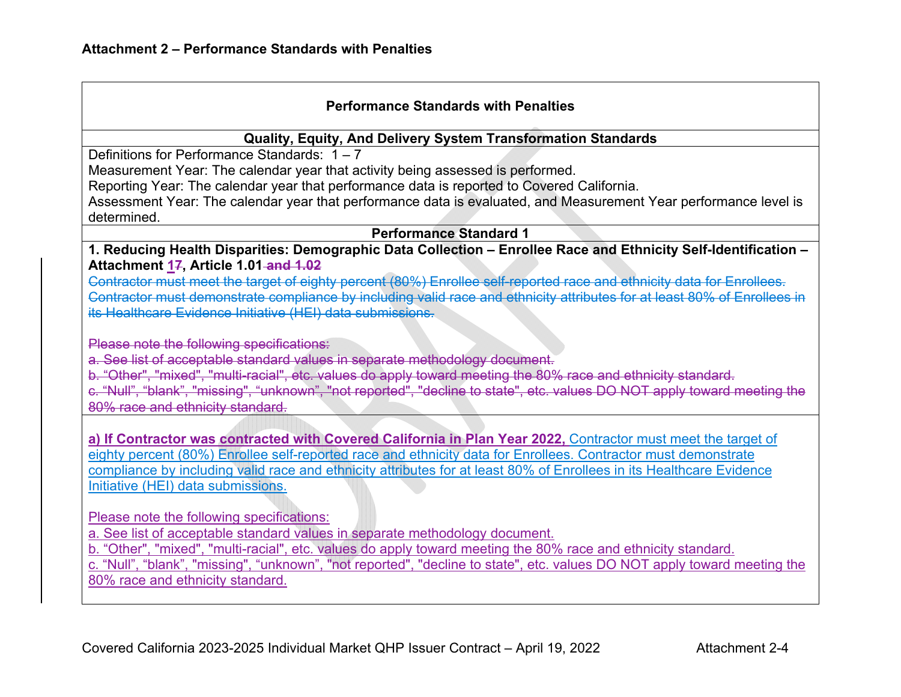### **Performance Standards with Penalties**

#### **Qualit y, Equit y, And Delivery S ystem Transformation Standards**

Definitions for Performance Standards: 1 – 7

Measurement Year: The calendar year that activity being assessed is performed.

Reporting Year: The calendar year that performance data is reported to Covered California.

Assessment Year: The calendar year that performance data is evaluated, and Measurement Year performance level is determined.

## **Performance Standard 1**

**1. Reducing Health Disparities: Demographic Data Collection – Enrollee Race and Ethnicity Self-Identification – Attachment 17, Article 1.01 and 1.02** 

Contractor must meet the target of eighty percent (80%) Enrollee self-reported race and ethnicity data for Enrollees. Contractor must demonstrate compliance by including valid race and ethnicity attributes for at least 80% of Enrollees in its Healthcare Evidence Initiative (HEI) data submissions.

Please note the following specifications:

a. See list of acceptable standard values in separate methodology document.

b. "Other", "mixed", "multi-racial", etc. values do apply toward meeting the 80% race and ethnicity standard.

c. "Null", "blank", "missing", "unknown", "not reported", "decline to state", etc. values DO NOT apply toward meeting the 80% race and ethnicit y standard.

**a) If Contractor was contracted with Covered California in Plan Year 2022,** Contractor must meet the target of eighty percent (80%) Enrollee self-reported race and ethnicity data for Enrollees. Contractor must demonstrate compliance by including valid race and ethnicity attributes for at least 80% of Enrollees in its Healthcare Evidence Initiative (HEI) data submissions.

Please note the following specifications:

a. See list of acceptable standard values in separate methodology document.

b. "Other", "mixed", "multi-racial", etc. values do apply toward meeting the 80% race and ethnicity standard.

c. "Null", "blank", "missing", "unknown", "not reported", "decline to state", etc. values DO NOT apply toward meeting the 80% race and ethnicity standard.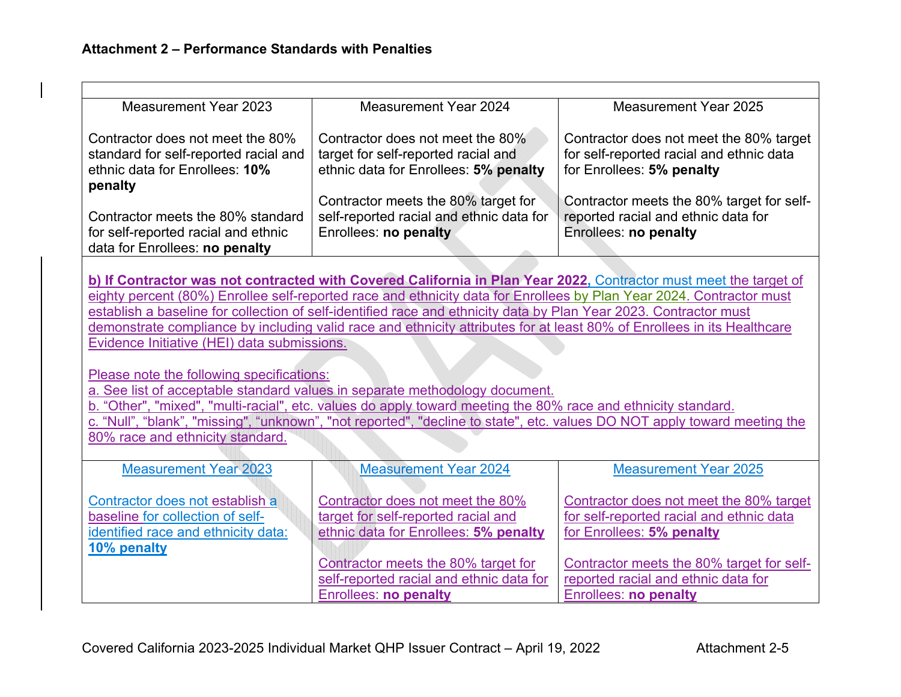| <b>Measurement Year 2023</b>                                                                                                                                           | <b>Measurement Year 2024</b>                                                                                                                                                                                                              | <b>Measurement Year 2025</b>                                                                                      |  |  |  |
|------------------------------------------------------------------------------------------------------------------------------------------------------------------------|-------------------------------------------------------------------------------------------------------------------------------------------------------------------------------------------------------------------------------------------|-------------------------------------------------------------------------------------------------------------------|--|--|--|
| Contractor does not meet the 80%                                                                                                                                       | Contractor does not meet the 80%                                                                                                                                                                                                          | Contractor does not meet the 80% target                                                                           |  |  |  |
| standard for self-reported racial and                                                                                                                                  | target for self-reported racial and                                                                                                                                                                                                       | for self-reported racial and ethnic data                                                                          |  |  |  |
| ethnic data for Enrollees: 10%                                                                                                                                         | ethnic data for Enrollees: 5% penalty                                                                                                                                                                                                     | for Enrollees: 5% penalty                                                                                         |  |  |  |
| penalty                                                                                                                                                                | Contractor meets the 80% target for                                                                                                                                                                                                       | Contractor meets the 80% target for self-                                                                         |  |  |  |
| Contractor meets the 80% standard                                                                                                                                      | self-reported racial and ethnic data for                                                                                                                                                                                                  | reported racial and ethnic data for                                                                               |  |  |  |
| for self-reported racial and ethnic                                                                                                                                    | Enrollees: no penalty                                                                                                                                                                                                                     | Enrollees: no penalty                                                                                             |  |  |  |
| data for Enrollees: no penalty                                                                                                                                         |                                                                                                                                                                                                                                           |                                                                                                                   |  |  |  |
|                                                                                                                                                                        |                                                                                                                                                                                                                                           |                                                                                                                   |  |  |  |
|                                                                                                                                                                        |                                                                                                                                                                                                                                           | b) If Contractor was not contracted with Covered California in Plan Year 2022, Contractor must meet the target of |  |  |  |
|                                                                                                                                                                        | eighty percent (80%) Enrollee self-reported race and ethnicity data for Enrollees by Plan Year 2024. Contractor must<br>establish a baseline for collection of self-identified race and ethnicity data by Plan Year 2023. Contractor must |                                                                                                                   |  |  |  |
|                                                                                                                                                                        |                                                                                                                                                                                                                                           |                                                                                                                   |  |  |  |
| demonstrate compliance by including valid race and ethnicity attributes for at least 80% of Enrollees in its Healthcare<br>Evidence Initiative (HEI) data submissions. |                                                                                                                                                                                                                                           |                                                                                                                   |  |  |  |
|                                                                                                                                                                        |                                                                                                                                                                                                                                           |                                                                                                                   |  |  |  |
| Please note the following specifications:                                                                                                                              |                                                                                                                                                                                                                                           |                                                                                                                   |  |  |  |
| a. See list of acceptable standard values in separate methodology document.                                                                                            |                                                                                                                                                                                                                                           |                                                                                                                   |  |  |  |
| b. "Other", "mixed", "multi-racial", etc. values do apply toward meeting the 80% race and ethnicity standard.                                                          |                                                                                                                                                                                                                                           |                                                                                                                   |  |  |  |
| c. "Null", "blank", "missing", "unknown", "not reported", "decline to state", etc. values DO NOT apply toward meeting the                                              |                                                                                                                                                                                                                                           |                                                                                                                   |  |  |  |
| 80% race and ethnicity standard.                                                                                                                                       |                                                                                                                                                                                                                                           |                                                                                                                   |  |  |  |
| <b>Measurement Year 2023</b>                                                                                                                                           | <b>Measurement Year 2024</b>                                                                                                                                                                                                              | <b>Measurement Year 2025</b>                                                                                      |  |  |  |
|                                                                                                                                                                        |                                                                                                                                                                                                                                           |                                                                                                                   |  |  |  |
| Contractor does not establish a                                                                                                                                        | Contractor does not meet the 80%                                                                                                                                                                                                          | Contractor does not meet the 80% target                                                                           |  |  |  |
| baseline for collection of self-                                                                                                                                       | target for self-reported racial and                                                                                                                                                                                                       | for self-reported racial and ethnic data                                                                          |  |  |  |
| identified race and ethnicity data:<br>10% penalty                                                                                                                     | ethnic data for Enrollees: 5% penalty                                                                                                                                                                                                     | for Enrollees: 5% penalty                                                                                         |  |  |  |
|                                                                                                                                                                        | Contractor meets the 80% target for                                                                                                                                                                                                       | Contractor meets the 80% target for self-                                                                         |  |  |  |
|                                                                                                                                                                        | self-reported racial and ethnic data for                                                                                                                                                                                                  | reported racial and ethnic data for                                                                               |  |  |  |
|                                                                                                                                                                        | <b>Enrollees: no penalty</b>                                                                                                                                                                                                              | <b>Enrollees: no penalty</b>                                                                                      |  |  |  |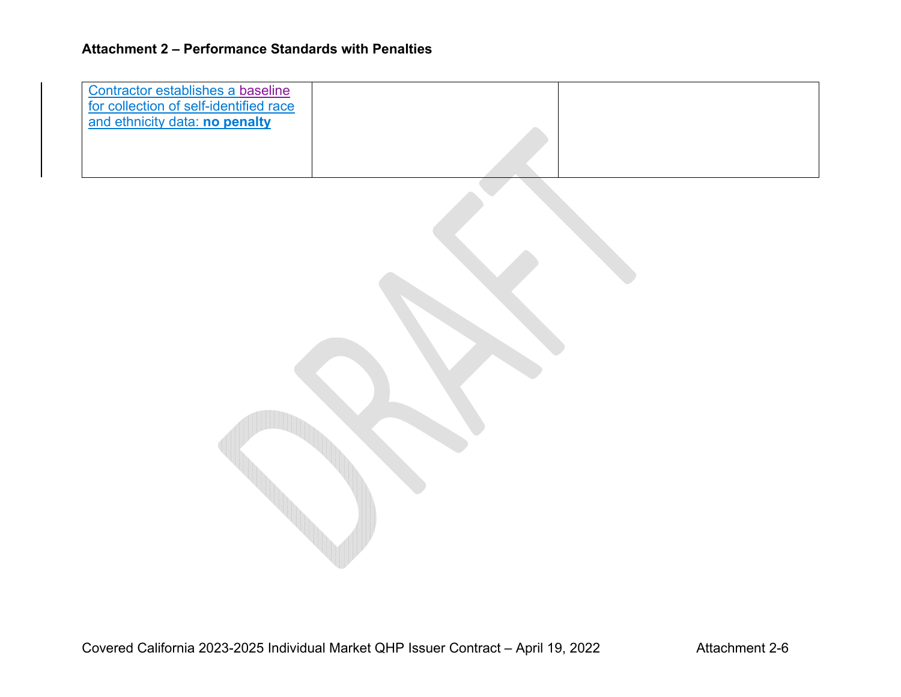| Contractor establishes a baseline<br>for collection of self-identified race<br>and ethnicity data: no penalty |  |
|---------------------------------------------------------------------------------------------------------------|--|
|                                                                                                               |  |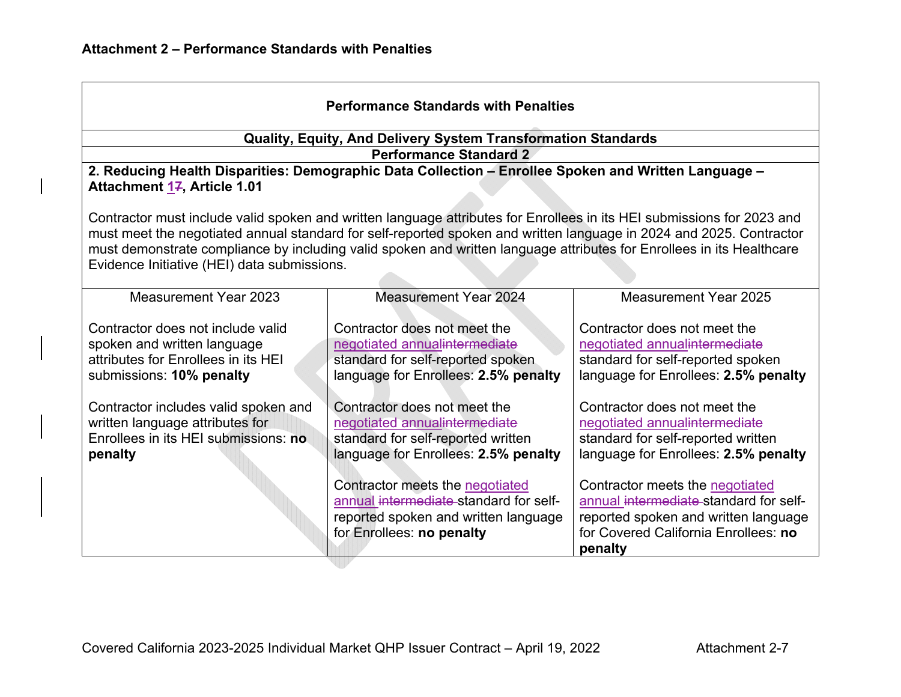| <b>Performance Standards with Penalties</b>                                                                                                                                                                                                                                                                                                                                                                           |                                                                                                                                                                                                                                                                                               |                                                                                                                                                                                                                                                                                                                     |  |
|-----------------------------------------------------------------------------------------------------------------------------------------------------------------------------------------------------------------------------------------------------------------------------------------------------------------------------------------------------------------------------------------------------------------------|-----------------------------------------------------------------------------------------------------------------------------------------------------------------------------------------------------------------------------------------------------------------------------------------------|---------------------------------------------------------------------------------------------------------------------------------------------------------------------------------------------------------------------------------------------------------------------------------------------------------------------|--|
|                                                                                                                                                                                                                                                                                                                                                                                                                       | Quality, Equity, And Delivery System Transformation Standards                                                                                                                                                                                                                                 |                                                                                                                                                                                                                                                                                                                     |  |
|                                                                                                                                                                                                                                                                                                                                                                                                                       | <b>Performance Standard 2</b>                                                                                                                                                                                                                                                                 |                                                                                                                                                                                                                                                                                                                     |  |
| Attachment 17, Article 1.01                                                                                                                                                                                                                                                                                                                                                                                           | 2. Reducing Health Disparities: Demographic Data Collection - Enrollee Spoken and Written Language -                                                                                                                                                                                          |                                                                                                                                                                                                                                                                                                                     |  |
| Contractor must include valid spoken and written language attributes for Enrollees in its HEI submissions for 2023 and<br>must meet the negotiated annual standard for self-reported spoken and written language in 2024 and 2025. Contractor<br>must demonstrate compliance by including valid spoken and written language attributes for Enrollees in its Healthcare<br>Evidence Initiative (HEI) data submissions. |                                                                                                                                                                                                                                                                                               |                                                                                                                                                                                                                                                                                                                     |  |
| Measurement Year 2023                                                                                                                                                                                                                                                                                                                                                                                                 | <b>Measurement Year 2024</b>                                                                                                                                                                                                                                                                  | <b>Measurement Year 2025</b>                                                                                                                                                                                                                                                                                        |  |
| Contractor does not include valid<br>spoken and written language<br>attributes for Enrollees in its HEI<br>submissions: 10% penalty                                                                                                                                                                                                                                                                                   | Contractor does not meet the<br>negotiated annualintermediate<br>standard for self-reported spoken<br>language for Enrollees: 2.5% penalty                                                                                                                                                    | Contractor does not meet the<br>negotiated annualintermediate<br>standard for self-reported spoken<br>language for Enrollees: 2.5% penalty                                                                                                                                                                          |  |
| Contractor includes valid spoken and<br>written language attributes for<br>Enrollees in its HEI submissions: no<br>penalty                                                                                                                                                                                                                                                                                            | Contractor does not meet the<br>negotiated annualintermediate<br>standard for self-reported written<br>language for Enrollees: 2.5% penalty<br>Contractor meets the negotiated<br>annual intermediate standard for self-<br>reported spoken and written language<br>for Enrollees: no penalty | Contractor does not meet the<br>negotiated annualintermediate<br>standard for self-reported written<br>language for Enrollees: 2.5% penalty<br>Contractor meets the negotiated<br>annual intermediate standard for self-<br>reported spoken and written language<br>for Covered California Enrollees: no<br>penalty |  |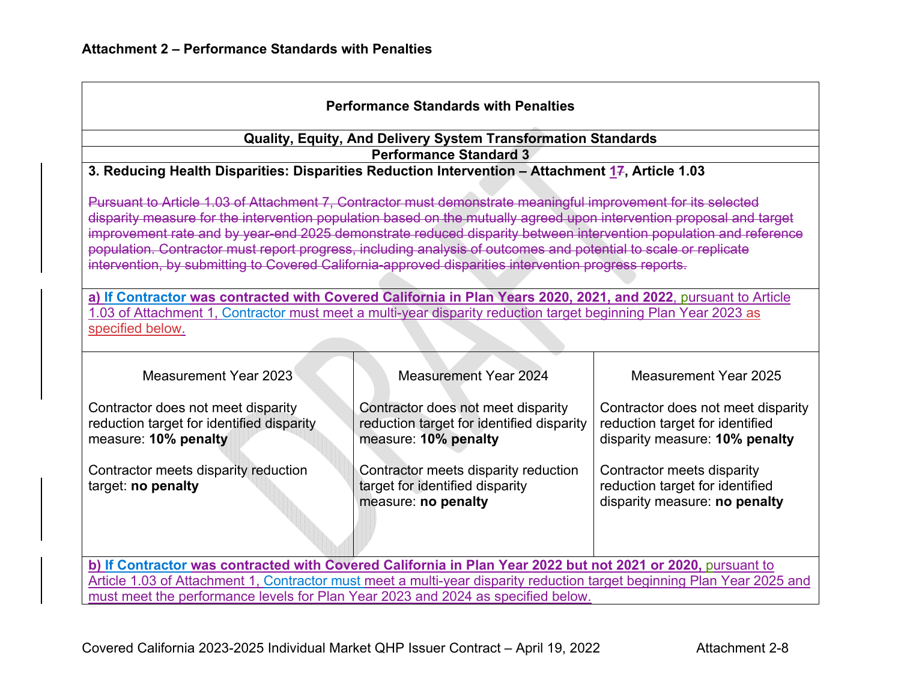| <b>Performance Standards with Penalties</b>                                                                                                                                                                                                                                                                                                                                                                                                                                                                                                                                            |                                                                                                         |                                                                                                         |  |  |  |
|----------------------------------------------------------------------------------------------------------------------------------------------------------------------------------------------------------------------------------------------------------------------------------------------------------------------------------------------------------------------------------------------------------------------------------------------------------------------------------------------------------------------------------------------------------------------------------------|---------------------------------------------------------------------------------------------------------|---------------------------------------------------------------------------------------------------------|--|--|--|
|                                                                                                                                                                                                                                                                                                                                                                                                                                                                                                                                                                                        | Quality, Equity, And Delivery System Transformation Standards                                           |                                                                                                         |  |  |  |
|                                                                                                                                                                                                                                                                                                                                                                                                                                                                                                                                                                                        | <b>Performance Standard 3</b>                                                                           |                                                                                                         |  |  |  |
| 3. Reducing Health Disparities: Disparities Reduction Intervention - Attachment 17, Article 1.03                                                                                                                                                                                                                                                                                                                                                                                                                                                                                       |                                                                                                         |                                                                                                         |  |  |  |
| Pursuant to Article 1.03 of Attachment 7, Contractor must demonstrate meaningful improvement for its selected<br>disparity measure for the intervention population based on the mutually agreed upon intervention proposal and target<br>improvement rate and by year-end 2025 demonstrate reduced disparity between intervention population and reference<br>population. Contractor must report progress, including analysis of outcomes and potential to scale or replicate<br>intervention, by submitting to Covered California-approved disparities intervention progress reports. |                                                                                                         |                                                                                                         |  |  |  |
| a) If Contractor was contracted with Covered California in Plan Years 2020, 2021, and 2022, pursuant to Article                                                                                                                                                                                                                                                                                                                                                                                                                                                                        |                                                                                                         |                                                                                                         |  |  |  |
| 1.03 of Attachment 1, Contractor must meet a multi-year disparity reduction target beginning Plan Year 2023 as                                                                                                                                                                                                                                                                                                                                                                                                                                                                         |                                                                                                         |                                                                                                         |  |  |  |
| specified below.                                                                                                                                                                                                                                                                                                                                                                                                                                                                                                                                                                       |                                                                                                         |                                                                                                         |  |  |  |
|                                                                                                                                                                                                                                                                                                                                                                                                                                                                                                                                                                                        |                                                                                                         |                                                                                                         |  |  |  |
| Measurement Year 2023                                                                                                                                                                                                                                                                                                                                                                                                                                                                                                                                                                  | <b>Measurement Year 2024</b>                                                                            | <b>Measurement Year 2025</b>                                                                            |  |  |  |
| Contractor does not meet disparity<br>reduction target for identified disparity<br>measure: 10% penalty                                                                                                                                                                                                                                                                                                                                                                                                                                                                                | Contractor does not meet disparity<br>reduction target for identified disparity<br>measure: 10% penalty | Contractor does not meet disparity<br>reduction target for identified<br>disparity measure: 10% penalty |  |  |  |
| Contractor meets disparity reduction<br>Contractor meets disparity reduction<br>Contractor meets disparity<br>target for identified disparity<br>reduction target for identified<br>target: no penalty<br>disparity measure: no penalty<br>measure: no penalty                                                                                                                                                                                                                                                                                                                         |                                                                                                         |                                                                                                         |  |  |  |
| b) If Contractor was contracted with Covered California in Plan Year 2022 but not 2021 or 2020, pursuant to                                                                                                                                                                                                                                                                                                                                                                                                                                                                            |                                                                                                         |                                                                                                         |  |  |  |
| Article 1.03 of Attachment 1, Contractor must meet a multi-year disparity reduction target beginning Plan Year 2025 and                                                                                                                                                                                                                                                                                                                                                                                                                                                                |                                                                                                         |                                                                                                         |  |  |  |
| must meet the performance levels for Plan Year 2023 and 2024 as specified below.                                                                                                                                                                                                                                                                                                                                                                                                                                                                                                       |                                                                                                         |                                                                                                         |  |  |  |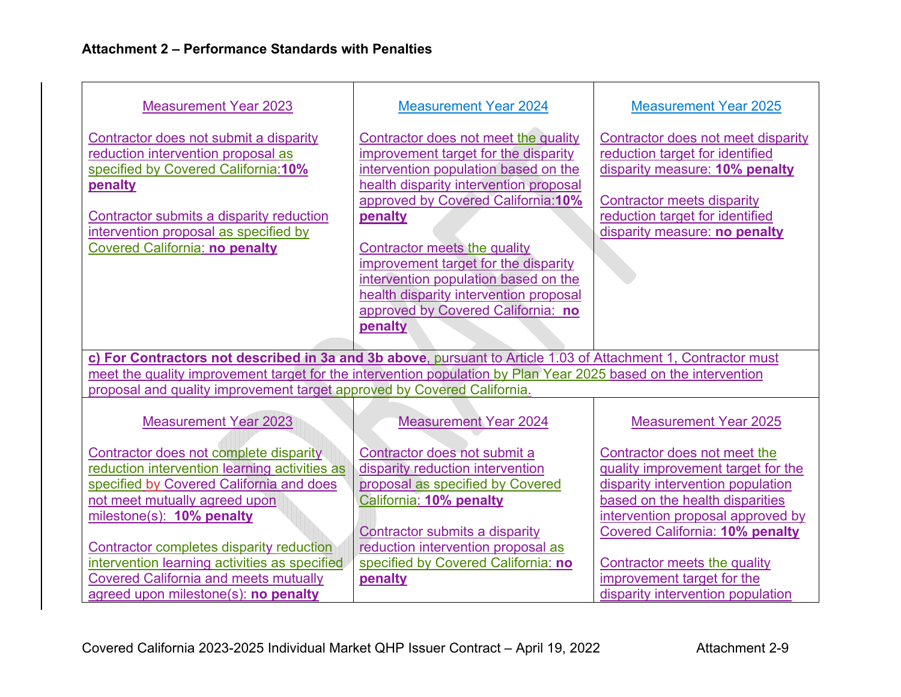| <b>Measurement Year 2023</b>                                                                                                                                                                                                                                  | <b>Measurement Year 2024</b>                                                                                                                                                                                                                                                                                                                                                                                                | <b>Measurement Year 2025</b>                                                                                                                                                                                     |  |  |
|---------------------------------------------------------------------------------------------------------------------------------------------------------------------------------------------------------------------------------------------------------------|-----------------------------------------------------------------------------------------------------------------------------------------------------------------------------------------------------------------------------------------------------------------------------------------------------------------------------------------------------------------------------------------------------------------------------|------------------------------------------------------------------------------------------------------------------------------------------------------------------------------------------------------------------|--|--|
| Contractor does not submit a disparity<br>reduction intervention proposal as<br>specified by Covered California: 10%<br>penalty<br>Contractor submits a disparity reduction<br>intervention proposal as specified by<br><b>Covered California: no penalty</b> | Contractor does not meet the quality<br>improvement target for the disparity<br>intervention population based on the<br>health disparity intervention proposal<br>approved by Covered California: 10%<br>penalty<br>Contractor meets the quality<br>improvement target for the disparity<br>intervention population based on the<br>health disparity intervention proposal<br>approved by Covered California: no<br>penalty | Contractor does not meet disparity<br>reduction target for identified<br>disparity measure: 10% penalty<br><b>Contractor meets disparity</b><br>reduction target for identified<br>disparity measure: no penalty |  |  |
|                                                                                                                                                                                                                                                               |                                                                                                                                                                                                                                                                                                                                                                                                                             |                                                                                                                                                                                                                  |  |  |
| c) For Contractors not described in 3a and 3b above, pursuant to Article 1.03 of Attachment 1, Contractor must                                                                                                                                                |                                                                                                                                                                                                                                                                                                                                                                                                                             |                                                                                                                                                                                                                  |  |  |
| meet the quality improvement target for the intervention population by Plan Year 2025 based on the intervention                                                                                                                                               |                                                                                                                                                                                                                                                                                                                                                                                                                             |                                                                                                                                                                                                                  |  |  |
| proposal and quality improvement target approved by Covered California.                                                                                                                                                                                       |                                                                                                                                                                                                                                                                                                                                                                                                                             |                                                                                                                                                                                                                  |  |  |
| <b>Measurement Year 2023</b>                                                                                                                                                                                                                                  | <b>Measurement Year 2024</b>                                                                                                                                                                                                                                                                                                                                                                                                | <b>Measurement Year 2025</b>                                                                                                                                                                                     |  |  |
| Contractor does not complete disparity                                                                                                                                                                                                                        | Contractor does not submit a                                                                                                                                                                                                                                                                                                                                                                                                | Contractor does not meet the                                                                                                                                                                                     |  |  |
| reduction intervention learning activities as                                                                                                                                                                                                                 | disparity reduction intervention                                                                                                                                                                                                                                                                                                                                                                                            | quality improvement target for the                                                                                                                                                                               |  |  |
| specified by Covered California and does                                                                                                                                                                                                                      | proposal as specified by Covered                                                                                                                                                                                                                                                                                                                                                                                            | disparity intervention population                                                                                                                                                                                |  |  |
| not meet mutually agreed upon                                                                                                                                                                                                                                 | California: 10% penalty                                                                                                                                                                                                                                                                                                                                                                                                     | based on the health disparities                                                                                                                                                                                  |  |  |
| milestone(s): 10% penalty                                                                                                                                                                                                                                     |                                                                                                                                                                                                                                                                                                                                                                                                                             | intervention proposal approved by                                                                                                                                                                                |  |  |
|                                                                                                                                                                                                                                                               | <b>Contractor submits a disparity</b>                                                                                                                                                                                                                                                                                                                                                                                       | <b>Covered California: 10% penalty</b>                                                                                                                                                                           |  |  |
| Contractor completes disparity reduction                                                                                                                                                                                                                      | reduction intervention proposal as                                                                                                                                                                                                                                                                                                                                                                                          |                                                                                                                                                                                                                  |  |  |
| intervention learning activities as specified                                                                                                                                                                                                                 | specified by Covered California: no                                                                                                                                                                                                                                                                                                                                                                                         | Contractor meets the quality<br>improvement target for the                                                                                                                                                       |  |  |
| <b>Covered California and meets mutually</b><br>agreed upon milestone(s): no penalty                                                                                                                                                                          | penalty                                                                                                                                                                                                                                                                                                                                                                                                                     | disparity intervention population                                                                                                                                                                                |  |  |
|                                                                                                                                                                                                                                                               |                                                                                                                                                                                                                                                                                                                                                                                                                             |                                                                                                                                                                                                                  |  |  |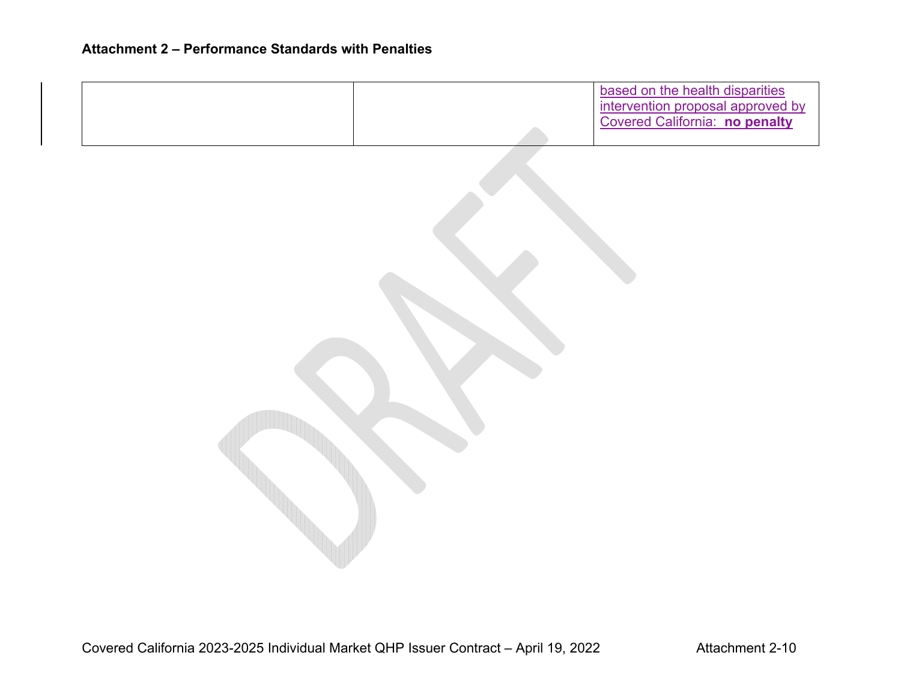|  | based on the health disparities<br>intervention proposal approved by<br>Covered California: no penalty |
|--|--------------------------------------------------------------------------------------------------------|
|  |                                                                                                        |
|  |                                                                                                        |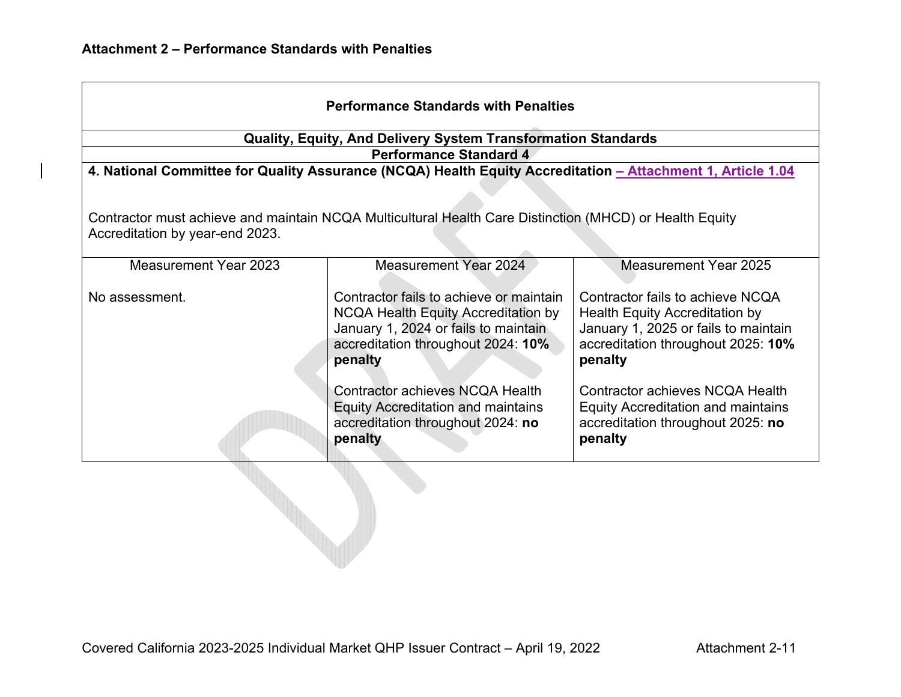| <b>Performance Standards with Penalties</b>                                                                                                |                                                                                                                                                                         |                                                                                                                                                             |  |  |
|--------------------------------------------------------------------------------------------------------------------------------------------|-------------------------------------------------------------------------------------------------------------------------------------------------------------------------|-------------------------------------------------------------------------------------------------------------------------------------------------------------|--|--|
|                                                                                                                                            | <b>Quality, Equity, And Delivery System Transformation Standards</b>                                                                                                    |                                                                                                                                                             |  |  |
|                                                                                                                                            | <b>Performance Standard 4</b>                                                                                                                                           |                                                                                                                                                             |  |  |
|                                                                                                                                            | 4. National Committee for Quality Assurance (NCQA) Health Equity Accreditation - Attachment 1, Article 1.04                                                             |                                                                                                                                                             |  |  |
|                                                                                                                                            |                                                                                                                                                                         |                                                                                                                                                             |  |  |
| Contractor must achieve and maintain NCQA Multicultural Health Care Distinction (MHCD) or Health Equity<br>Accreditation by year-end 2023. |                                                                                                                                                                         |                                                                                                                                                             |  |  |
| Measurement Year 2023                                                                                                                      | <b>Measurement Year 2024</b>                                                                                                                                            | <b>Measurement Year 2025</b>                                                                                                                                |  |  |
| No assessment.                                                                                                                             | Contractor fails to achieve or maintain<br>NCQA Health Equity Accreditation by<br>January 1, 2024 or fails to maintain<br>accreditation throughout 2024: 10%<br>penalty | Contractor fails to achieve NCQA<br>Health Equity Accreditation by<br>January 1, 2025 or fails to maintain<br>accreditation throughout 2025: 10%<br>penalty |  |  |
|                                                                                                                                            | Contractor achieves NCQA Health<br><b>Equity Accreditation and maintains</b><br>accreditation throughout 2024: no<br>penalty                                            | Contractor achieves NCQA Health<br><b>Equity Accreditation and maintains</b><br>accreditation throughout 2025: no<br>penalty                                |  |  |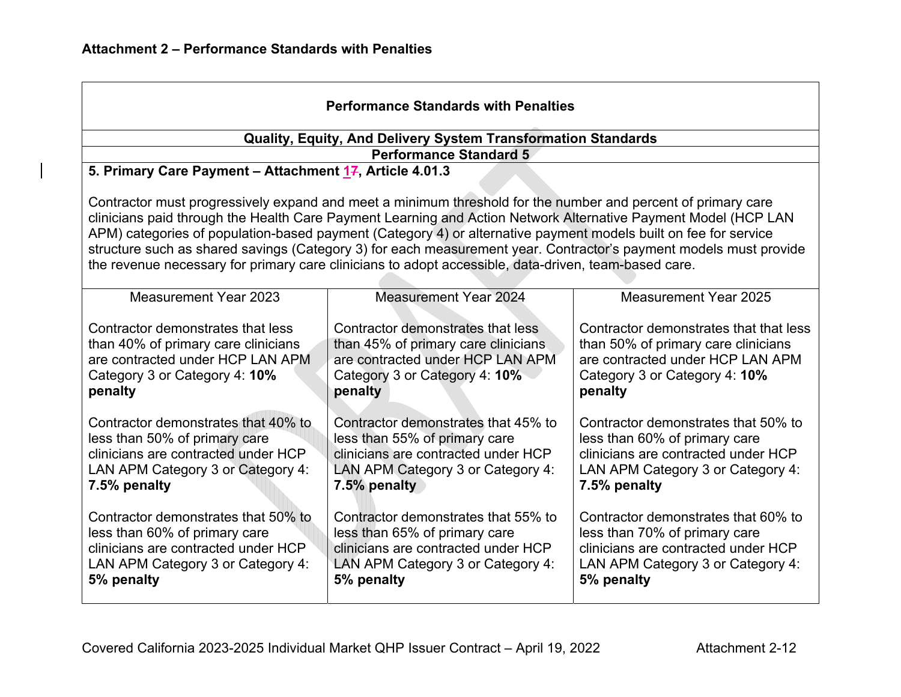| <b>Performance Standards with Penalties</b>                                                                                                                                                                                                                                                                                                                                                                                                                                                                                                                                    |                                                                                                                                                                  |                                                                                                                                                                  |  |  |
|--------------------------------------------------------------------------------------------------------------------------------------------------------------------------------------------------------------------------------------------------------------------------------------------------------------------------------------------------------------------------------------------------------------------------------------------------------------------------------------------------------------------------------------------------------------------------------|------------------------------------------------------------------------------------------------------------------------------------------------------------------|------------------------------------------------------------------------------------------------------------------------------------------------------------------|--|--|
|                                                                                                                                                                                                                                                                                                                                                                                                                                                                                                                                                                                | Quality, Equity, And Delivery System Transformation Standards                                                                                                    |                                                                                                                                                                  |  |  |
|                                                                                                                                                                                                                                                                                                                                                                                                                                                                                                                                                                                | <b>Performance Standard 5</b>                                                                                                                                    |                                                                                                                                                                  |  |  |
| 5. Primary Care Payment - Attachment 17, Article 4.01.3                                                                                                                                                                                                                                                                                                                                                                                                                                                                                                                        |                                                                                                                                                                  |                                                                                                                                                                  |  |  |
| Contractor must progressively expand and meet a minimum threshold for the number and percent of primary care<br>clinicians paid through the Health Care Payment Learning and Action Network Alternative Payment Model (HCP LAN<br>APM) categories of population-based payment (Category 4) or alternative payment models built on fee for service<br>structure such as shared savings (Category 3) for each measurement year. Contractor's payment models must provide<br>the revenue necessary for primary care clinicians to adopt accessible, data-driven, team-based care. |                                                                                                                                                                  |                                                                                                                                                                  |  |  |
| Measurement Year 2023                                                                                                                                                                                                                                                                                                                                                                                                                                                                                                                                                          | <b>Measurement Year 2024</b>                                                                                                                                     | <b>Measurement Year 2025</b>                                                                                                                                     |  |  |
| Contractor demonstrates that less<br>than 40% of primary care clinicians<br>are contracted under HCP LAN APM<br>Category 3 or Category 4: 10%<br>penalty                                                                                                                                                                                                                                                                                                                                                                                                                       | Contractor demonstrates that less<br>than 45% of primary care clinicians<br>are contracted under HCP LAN APM<br>Category 3 or Category 4: 10%<br>penalty         | Contractor demonstrates that that less<br>than 50% of primary care clinicians<br>are contracted under HCP LAN APM<br>Category 3 or Category 4: 10%<br>penalty    |  |  |
| Contractor demonstrates that 40% to<br>less than 50% of primary care<br>clinicians are contracted under HCP<br>LAN APM Category 3 or Category 4:<br>7.5% penalty                                                                                                                                                                                                                                                                                                                                                                                                               | Contractor demonstrates that 45% to<br>less than 55% of primary care<br>clinicians are contracted under HCP<br>LAN APM Category 3 or Category 4:<br>7.5% penalty | Contractor demonstrates that 50% to<br>less than 60% of primary care<br>clinicians are contracted under HCP<br>LAN APM Category 3 or Category 4:<br>7.5% penalty |  |  |
| Contractor demonstrates that 50% to<br>Contractor demonstrates that 55% to<br>Contractor demonstrates that 60% to<br>less than 60% of primary care<br>less than 65% of primary care<br>less than 70% of primary care<br>clinicians are contracted under HCP<br>clinicians are contracted under HCP<br>clinicians are contracted under HCP<br>LAN APM Category 3 or Category 4:<br>LAN APM Category 3 or Category 4:<br>LAN APM Category 3 or Category 4:<br>5% penalty<br>5% penalty<br>5% penalty                                                                             |                                                                                                                                                                  |                                                                                                                                                                  |  |  |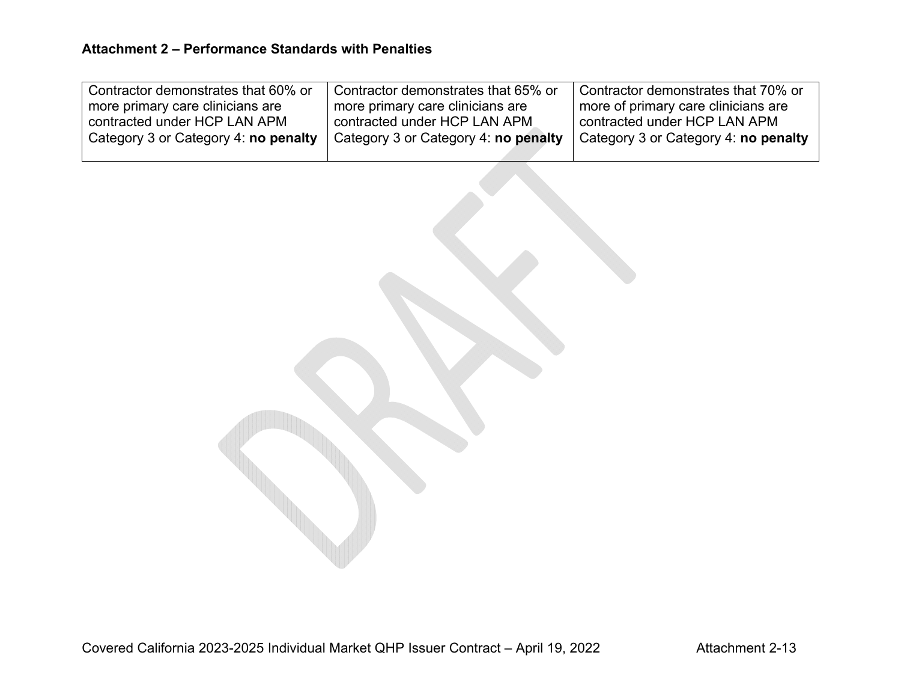| Contractor demonstrates that 60% or         | Contractor demonstrates that 65% or  | Contractor demonstrates that 70% or   |
|---------------------------------------------|--------------------------------------|---------------------------------------|
| more primary care clinicians are            | more primary care clinicians are     | ' more of primary care clinicians are |
| contracted under HCP LAN APM                | contracted under HCP LAN APM         | contracted under HCP LAN APM          |
| Category 3 or Category 4: <b>no penalty</b> | Category 3 or Category 4: no penalty | Category 3 or Category 4: no penalty  |
|                                             |                                      |                                       |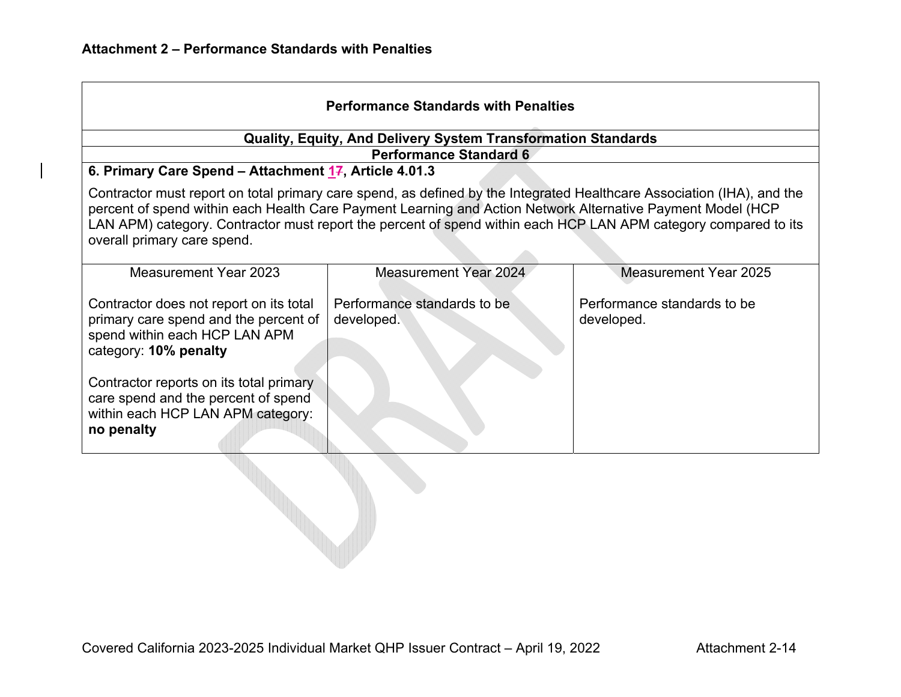| <b>Performance Standards with Penalties</b>                                                                                                                                                                                                                                                                                                                                             |                                                                                                |                                           |  |  |  |
|-----------------------------------------------------------------------------------------------------------------------------------------------------------------------------------------------------------------------------------------------------------------------------------------------------------------------------------------------------------------------------------------|------------------------------------------------------------------------------------------------|-------------------------------------------|--|--|--|
|                                                                                                                                                                                                                                                                                                                                                                                         | Quality, Equity, And Delivery System Transformation Standards<br><b>Performance Standard 6</b> |                                           |  |  |  |
| 6. Primary Care Spend - Attachment 17, Article 4.01.3                                                                                                                                                                                                                                                                                                                                   |                                                                                                |                                           |  |  |  |
| Contractor must report on total primary care spend, as defined by the Integrated Healthcare Association (IHA), and the<br>percent of spend within each Health Care Payment Learning and Action Network Alternative Payment Model (HCP<br>LAN APM) category. Contractor must report the percent of spend within each HCP LAN APM category compared to its<br>overall primary care spend. |                                                                                                |                                           |  |  |  |
| Measurement Year 2023                                                                                                                                                                                                                                                                                                                                                                   | <b>Measurement Year 2024</b>                                                                   | Measurement Year 2025                     |  |  |  |
| Contractor does not report on its total<br>primary care spend and the percent of<br>spend within each HCP LAN APM<br>category: 10% penalty                                                                                                                                                                                                                                              | Performance standards to be<br>developed.                                                      | Performance standards to be<br>developed. |  |  |  |
| Contractor reports on its total primary<br>care spend and the percent of spend<br>within each HCP LAN APM category:<br>no penalty                                                                                                                                                                                                                                                       |                                                                                                |                                           |  |  |  |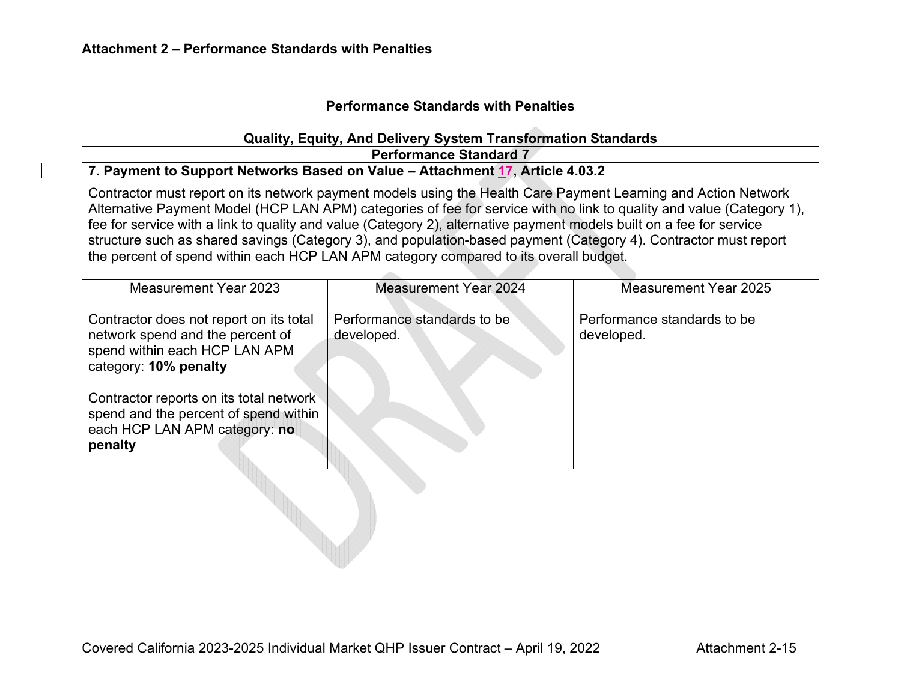| <b>Performance Standards with Penalties</b>                                                                                                                                                                                                                                                                                                                                                                                                                                                                                                                                  |                                                                                                                |                                           |  |  |
|------------------------------------------------------------------------------------------------------------------------------------------------------------------------------------------------------------------------------------------------------------------------------------------------------------------------------------------------------------------------------------------------------------------------------------------------------------------------------------------------------------------------------------------------------------------------------|----------------------------------------------------------------------------------------------------------------|-------------------------------------------|--|--|
|                                                                                                                                                                                                                                                                                                                                                                                                                                                                                                                                                                              | Quality, Equity, And Delivery System Transformation Standards                                                  |                                           |  |  |
|                                                                                                                                                                                                                                                                                                                                                                                                                                                                                                                                                                              | <b>Performance Standard 7</b><br>7. Payment to Support Networks Based on Value - Attachment 17, Article 4.03.2 |                                           |  |  |
| Contractor must report on its network payment models using the Health Care Payment Learning and Action Network<br>Alternative Payment Model (HCP LAN APM) categories of fee for service with no link to quality and value (Category 1),<br>fee for service with a link to quality and value (Category 2), alternative payment models built on a fee for service<br>structure such as shared savings (Category 3), and population-based payment (Category 4). Contractor must report<br>the percent of spend within each HCP LAN APM category compared to its overall budget. |                                                                                                                |                                           |  |  |
| Measurement Year 2023                                                                                                                                                                                                                                                                                                                                                                                                                                                                                                                                                        | <b>Measurement Year 2024</b>                                                                                   | Measurement Year 2025                     |  |  |
| Contractor does not report on its total<br>network spend and the percent of<br>spend within each HCP LAN APM<br>category: 10% penalty                                                                                                                                                                                                                                                                                                                                                                                                                                        | Performance standards to be<br>developed.                                                                      | Performance standards to be<br>developed. |  |  |
| Contractor reports on its total network<br>spend and the percent of spend within<br>each HCP LAN APM category: no<br>penalty                                                                                                                                                                                                                                                                                                                                                                                                                                                 |                                                                                                                |                                           |  |  |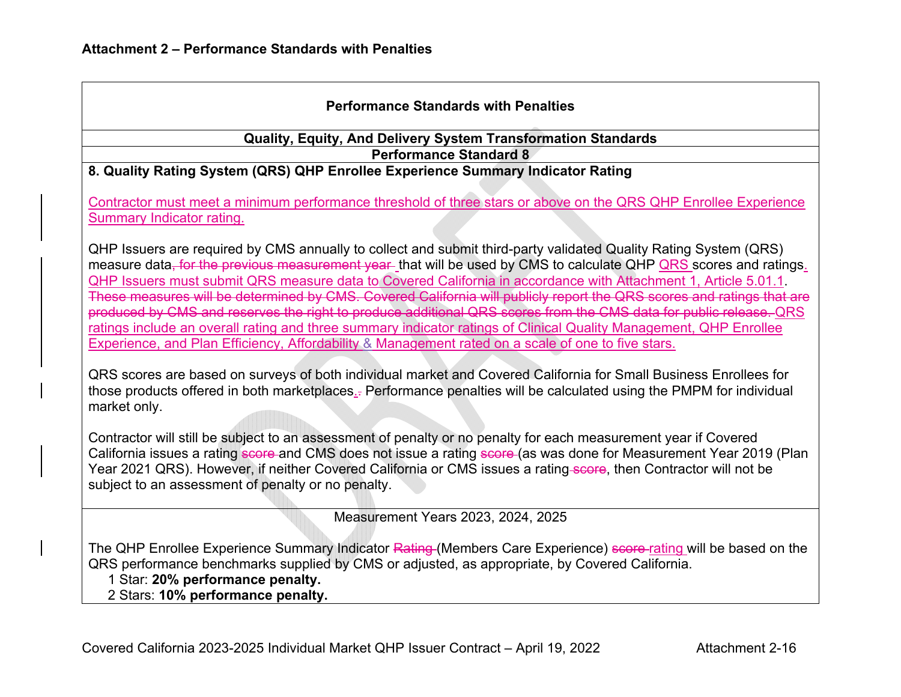| <b>Performance Standards with Penalties</b>                                                                                                                                                                                                                                                                                                                                                                                                                                                                                                                                                                                                                                                                                                                                                                                       |  |  |  |
|-----------------------------------------------------------------------------------------------------------------------------------------------------------------------------------------------------------------------------------------------------------------------------------------------------------------------------------------------------------------------------------------------------------------------------------------------------------------------------------------------------------------------------------------------------------------------------------------------------------------------------------------------------------------------------------------------------------------------------------------------------------------------------------------------------------------------------------|--|--|--|
| Quality, Equity, And Delivery System Transformation Standards                                                                                                                                                                                                                                                                                                                                                                                                                                                                                                                                                                                                                                                                                                                                                                     |  |  |  |
| <b>Performance Standard 8</b>                                                                                                                                                                                                                                                                                                                                                                                                                                                                                                                                                                                                                                                                                                                                                                                                     |  |  |  |
| 8. Quality Rating System (QRS) QHP Enrollee Experience Summary Indicator Rating                                                                                                                                                                                                                                                                                                                                                                                                                                                                                                                                                                                                                                                                                                                                                   |  |  |  |
| Contractor must meet a minimum performance threshold of three stars or above on the QRS QHP Enrollee Experience<br>Summary Indicator rating.                                                                                                                                                                                                                                                                                                                                                                                                                                                                                                                                                                                                                                                                                      |  |  |  |
| QHP Issuers are required by CMS annually to collect and submit third-party validated Quality Rating System (QRS)<br>measure data, for the previous measurement year that will be used by CMS to calculate QHP QRS scores and ratings.<br>QHP Issuers must submit QRS measure data to Covered California in accordance with Attachment 1, Article 5.01.1<br>These measures will be determined by CMS. Covered California will publicly report the QRS scores and ratings that are<br>produced by CMS and reserves the right to produce additional QRS scores from the CMS data for public release. QRS<br>ratings include an overall rating and three summary indicator ratings of Clinical Quality Management, QHP Enrollee<br>Experience, and Plan Efficiency, Affordability & Management rated on a scale of one to five stars. |  |  |  |
| QRS scores are based on surveys of both individual market and Covered California for Small Business Enrollees for<br>those products offered in both marketplaces.- Performance penalties will be calculated using the PMPM for individual<br>market only.                                                                                                                                                                                                                                                                                                                                                                                                                                                                                                                                                                         |  |  |  |
| Contractor will still be subject to an assessment of penalty or no penalty for each measurement year if Covered<br>California issues a rating score and CMS does not issue a rating score (as was done for Measurement Year 2019 (Plan<br>Year 2021 QRS). However, if neither Covered California or CMS issues a rating score, then Contractor will not be<br>subject to an assessment of penalty or no penalty.                                                                                                                                                                                                                                                                                                                                                                                                                  |  |  |  |
| Measurement Years 2023, 2024, 2025                                                                                                                                                                                                                                                                                                                                                                                                                                                                                                                                                                                                                                                                                                                                                                                                |  |  |  |
| The QHP Enrollee Experience Summary Indicator Rating (Members Care Experience) score rating will be based on the<br>QRS performance benchmarks supplied by CMS or adjusted, as appropriate, by Covered California.<br>1 Star: 20% performance penalty.<br>2 Stars: 10% performance penalty.                                                                                                                                                                                                                                                                                                                                                                                                                                                                                                                                       |  |  |  |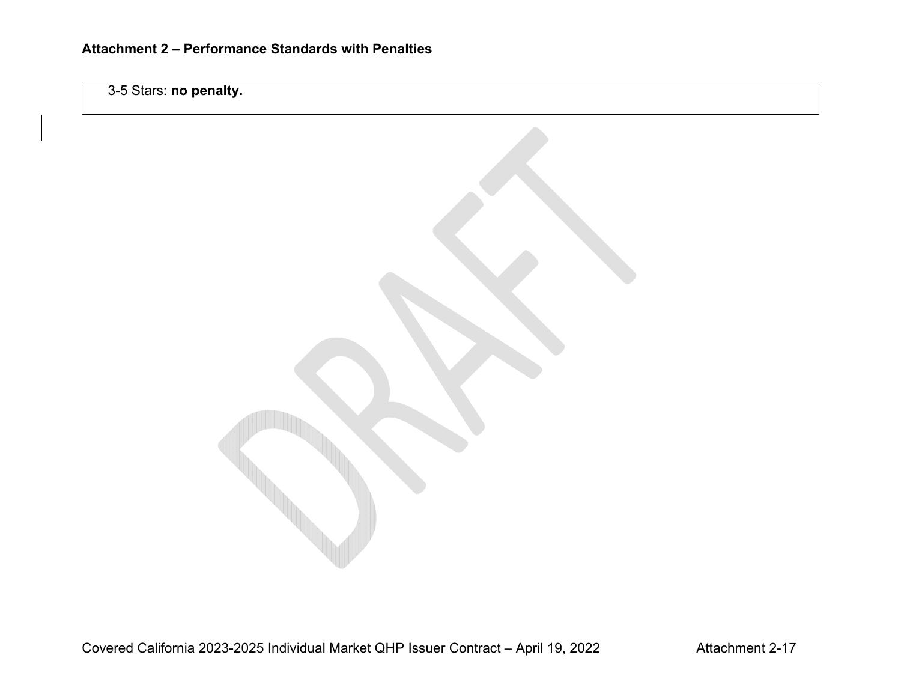3-5 Stars: **no penalty.**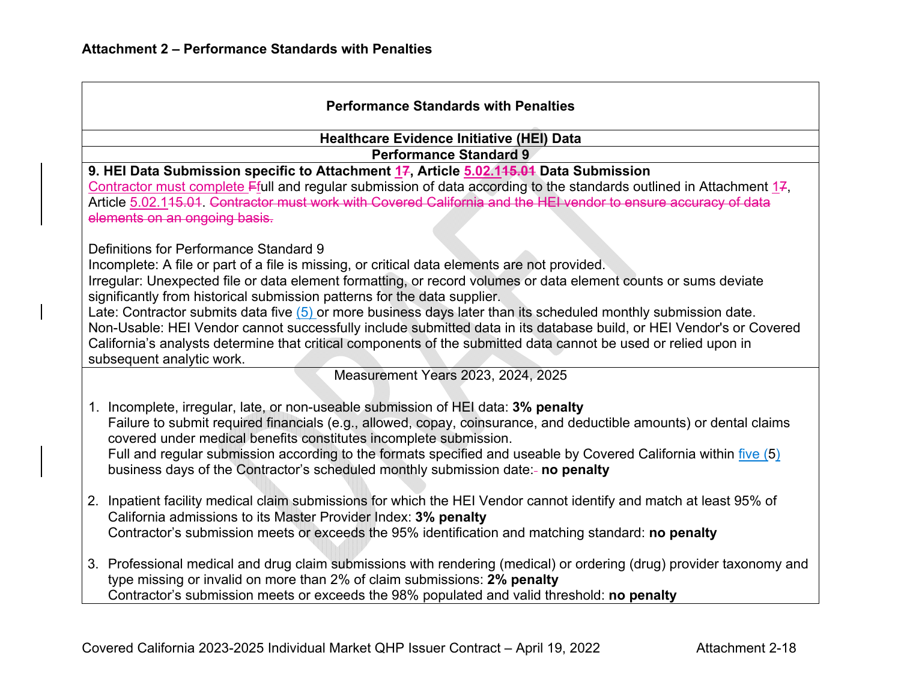| <b>Performance Standards with Penalties</b>                                                                                                                                                                                                                                                                                                                                                                                                                                                                                                                                                                                                                                                                                    |                                                                                                                                                                                                                                                                                                                                                                                                                                                                                      |  |  |  |
|--------------------------------------------------------------------------------------------------------------------------------------------------------------------------------------------------------------------------------------------------------------------------------------------------------------------------------------------------------------------------------------------------------------------------------------------------------------------------------------------------------------------------------------------------------------------------------------------------------------------------------------------------------------------------------------------------------------------------------|--------------------------------------------------------------------------------------------------------------------------------------------------------------------------------------------------------------------------------------------------------------------------------------------------------------------------------------------------------------------------------------------------------------------------------------------------------------------------------------|--|--|--|
| <b>Healthcare Evidence Initiative (HEI) Data</b>                                                                                                                                                                                                                                                                                                                                                                                                                                                                                                                                                                                                                                                                               |                                                                                                                                                                                                                                                                                                                                                                                                                                                                                      |  |  |  |
| <b>Performance Standard 9</b>                                                                                                                                                                                                                                                                                                                                                                                                                                                                                                                                                                                                                                                                                                  |                                                                                                                                                                                                                                                                                                                                                                                                                                                                                      |  |  |  |
| 9. HEI Data Submission specific to Attachment 17, Article 5.02.145.04 Data Submission<br>Contractor must complete $F$ full and regular submission of data according to the standards outlined in Attachment 17,<br>Article 5.02.145.01 Contractor must work with Covered California and the HEI vendor to ensure accuracy of data<br>elements on an ongoing basis.                                                                                                                                                                                                                                                                                                                                                             |                                                                                                                                                                                                                                                                                                                                                                                                                                                                                      |  |  |  |
| Definitions for Performance Standard 9<br>Incomplete: A file or part of a file is missing, or critical data elements are not provided.<br>Irregular: Unexpected file or data element formatting, or record volumes or data element counts or sums deviate<br>significantly from historical submission patterns for the data supplier.<br>Late: Contractor submits data five (5) or more business days later than its scheduled monthly submission date.<br>Non-Usable: HEI Vendor cannot successfully include submitted data in its database build, or HEI Vendor's or Covered<br>California's analysts determine that critical components of the submitted data cannot be used or relied upon in<br>subsequent analytic work. |                                                                                                                                                                                                                                                                                                                                                                                                                                                                                      |  |  |  |
| Measurement Years 2023, 2024, 2025                                                                                                                                                                                                                                                                                                                                                                                                                                                                                                                                                                                                                                                                                             |                                                                                                                                                                                                                                                                                                                                                                                                                                                                                      |  |  |  |
|                                                                                                                                                                                                                                                                                                                                                                                                                                                                                                                                                                                                                                                                                                                                | 1. Incomplete, irregular, late, or non-useable submission of HEI data: 3% penalty<br>Failure to submit required financials (e.g., allowed, copay, coinsurance, and deductible amounts) or dental claims<br>covered under medical benefits constitutes incomplete submission.<br>Full and regular submission according to the formats specified and useable by Covered California within five (5)<br>business days of the Contractor's scheduled monthly submission date:- no penalty |  |  |  |
|                                                                                                                                                                                                                                                                                                                                                                                                                                                                                                                                                                                                                                                                                                                                | 2. Inpatient facility medical claim submissions for which the HEI Vendor cannot identify and match at least 95% of<br>California admissions to its Master Provider Index: 3% penalty<br>Contractor's submission meets or exceeds the 95% identification and matching standard: no penalty                                                                                                                                                                                            |  |  |  |
|                                                                                                                                                                                                                                                                                                                                                                                                                                                                                                                                                                                                                                                                                                                                | 3. Professional medical and drug claim submissions with rendering (medical) or ordering (drug) provider taxonomy and<br>type missing or invalid on more than 2% of claim submissions: 2% penalty<br>Contractor's submission meets or exceeds the 98% populated and valid threshold: no penalty                                                                                                                                                                                       |  |  |  |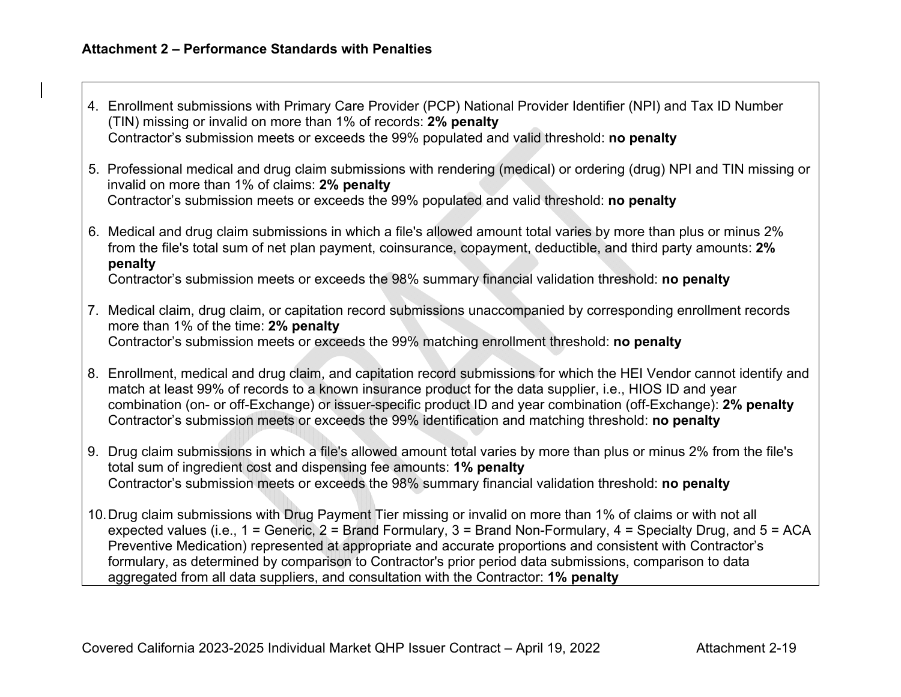- 4. Enrollment submissions with Primary Care Provider (PCP) National Provider Identifier (NPI) and Tax ID Number (TIN) missing or invalid on more than 1% of records: **2% penalty** Contractor's submission meets or exceeds the 99% populated and valid threshold: **no penalty**
- 5. Professional medical and drug claim submissions with rendering (medical) or ordering (drug) NPI and TIN missing or invalid on more than 1% of claims: **2% penalty** Contractor's submission meets or exceeds the 99% populated and valid threshold: **no penalty**
- 6. Medical and drug claim submissions in which a file's allowed amount total varies by more than plus or minus 2% from the file's total sum of net plan payment, coinsurance, copayment, deductible, and third party amounts: **2% penalty**

Contractor's submission meets or exceeds the 98% summary financial validation threshold: **no penalty**

- 7. Medical claim, drug claim, or capitation record submissions unaccompanied by corresponding enrollment records more than 1% of the time: **2% penalty** Contractor's submission meets or exceeds the 99% matching enrollment threshold: **no penalty**
- 8. Enrollment, medical and drug claim, and capitation record submissions for which the HEI Vendor cannot identify and match at least 99% of records to a known insurance product for the data supplier, i.e., HIOS ID and year combination (on- or off-Exchange) or issuer-specific product ID and year combination (off-Exchange): **2% penalty** Contractor's submission meets or exceeds the 99% identification and matching threshold: **no penalty**
- 9. Drug claim submissions in which a file's allowed amount total varies by more than plus or minus 2% from the file's total sum of ingredient cost and dispensing fee amounts: **1% penalty** Contractor's submission meets or exceeds the 98% summary financial validation threshold: **no penalty**
- 10. Drug claim submissions with Drug Payment Tier missing or invalid on more than 1% of claims or with not all expected values (i.e., 1 = Generic, 2 = Brand Formulary, 3 = Brand Non-Formulary, 4 = Specialty Drug, and 5 = ACA Preventive Medication) represented at appropriate and accurate proportions and consistent with Contractor's formulary, as determined by comparison to Contractor's prior period data submissions, comparison to data aggre gated from all data suppliers, and consultation with the Contractor: **1% penalt y**